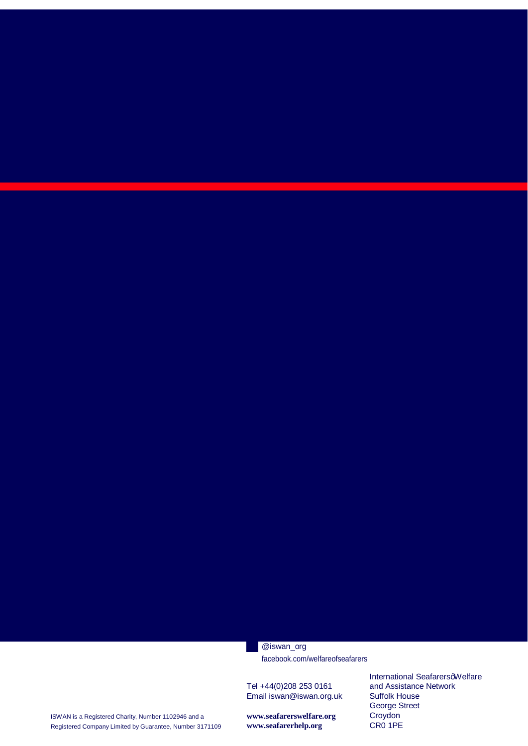#### @iswan\_org

facebook.com/welfareofseafarers

Tel +44(0)208 253 0161 and Assistance Network Email iswan@iswan.org.uk Suffolk House

International SeafarersqWelfare<br>and Assistance Network George Street<br>Croydon

ISWAN is a Registered Charity, Number 1102946 and a **www.seafarerswelfare.org** Croydon<br>
Registered Company Limited by Guarantee, Number 3171109 **www.seafarerhelp.org** CRO 1PE Registered Company Limited by Guarantee, Number 3171109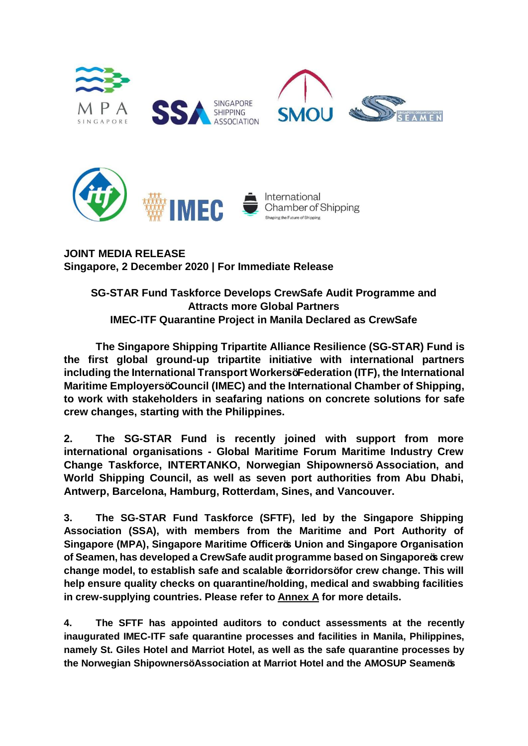



**JOINT MEDIA RELEASE Singapore, 2 December 2020 | For Immediate Release**

# **SG-STAR Fund Taskforce Develops CrewSafe Audit Programme and Attracts more Global Partners IMEC-ITF Quarantine Project in Manila Declared as CrewSafe**

**The Singapore Shipping Tripartite Alliance Resilience (SG-STAR) Fund is the first global ground-up tripartite initiative with international partners including the International Transport Workers' Federation (ITF), the International Maritime Employers' Council (IMEC) and the International Chamber of Shipping, to work with stakeholders in seafaring nations on concrete solutions for safe crew changes, starting with the Philippines.**

**2. The SG-STAR Fund is recently joined with support from more international organisations - Global Maritime Forum Maritime Industry Crew Change Taskforce, INTERTANKO, Norwegian Shipowners' Association, and World Shipping Council, as well as seven port authorities from Abu Dhabi, Antwerp, Barcelona, Hamburg, Rotterdam, Sines, and Vancouver.**

**3. The SG-STAR Fund Taskforce (SFTF), led by the Singapore Shipping Association (SSA), with members from the Maritime and Port Authority of Singapore (MPA), Singapore Maritime Officer's Union and Singapore Organisation of Seamen, has developed a CrewSafe audit programme based on Singapore's crew change model, to establish safe and scalable 'corridors' for crew change. This will help ensure quality checks on quarantine/holding, medical and swabbing facilities in crew-supplying countries. Please refer to Annex A for more details.**

**4. The SFTF has appointed auditors to conduct assessments at the recently inaugurated IMEC-ITF safe quarantine processes and facilities in Manila, Philippines, namely St. Giles Hotel and Marriot Hotel, as well as the safe quarantine processes by the Norwegian Shipowners DAssociation at Marriot Hotel and the AMOSUP Seamen<sup>8</sup>**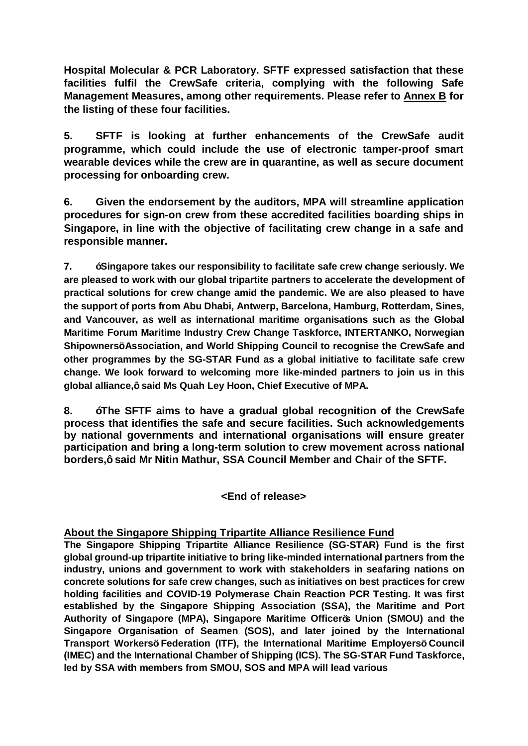**Hospital Molecular & PCR Laboratory. SFTF expressed satisfaction that these facilities fulfil the CrewSafe criteria, complying with the following Safe Management Measures, among other requirements. Please refer to Annex B for the listing of these four facilities.**

**5. SFTF is looking at further enhancements of the CrewSafe audit programme, which could include the use of electronic tamper-proof smart wearable devices while the crew are in quarantine, as well as secure document processing for onboarding crew.**

**6. Given the endorsement by the auditors, MPA will streamline application procedures for sign-on crew from these accredited facilities boarding ships in Singapore, in line with the objective of facilitating crew change in a safe and responsible manner.**

**7. "Singapore takes our responsibility to facilitate safe crew change seriously. We are pleased to work with our global tripartite partners to accelerate the development of practical solutions for crew change amid the pandemic. We are also pleased to have the support of ports from Abu Dhabi, Antwerp, Barcelona, Hamburg, Rotterdam, Sines, and Vancouver, as well as international maritime organisations such as the Global Maritime Forum Maritime Industry Crew Change Taskforce, INTERTANKO, Norwegian Shipowners' Association, and World Shipping Council to recognise the CrewSafe and other programmes by the SG-STAR Fund as a global initiative to facilitate safe crew change. We look forward to welcoming more like-minded partners to join us in this global alliance," said Ms Quah Ley Hoon, Chief Executive of MPA.**

**8. "The SFTF aims to have a gradual global recognition of the CrewSafe process that identifies the safe and secure facilities. Such acknowledgements by national governments and international organisations will ensure greater participation and bring a long-term solution to crew movement across national borders," said Mr Nitin Mathur, SSA Council Member and Chair of the SFTF.**

### **<End of release>**

# **About the Singapore Shipping Tripartite Alliance Resilience Fund**

**The Singapore Shipping Tripartite Alliance Resilience (SG-STAR) Fund is the first global ground-up tripartite initiative to bring like-minded international partners from the industry, unions and government to work with stakeholders in seafaring nations on concrete solutions for safe crew changes, such as initiatives on best practices for crew holding facilities and COVID-19 Polymerase Chain Reaction PCR Testing. It was first established by the Singapore Shipping Association (SSA), the Maritime and Port Authority of Singapore (MPA), Singapore Maritime Officer's Union (SMOU) and the Singapore Organisation of Seamen (SOS), and later joined by the International Transport Workers' Federation (ITF), the International Maritime Employers' Council (IMEC) and the International Chamber of Shipping (ICS). The SG-STAR Fund Taskforce, led by SSA with members from SMOU, SOS and MPA will lead various**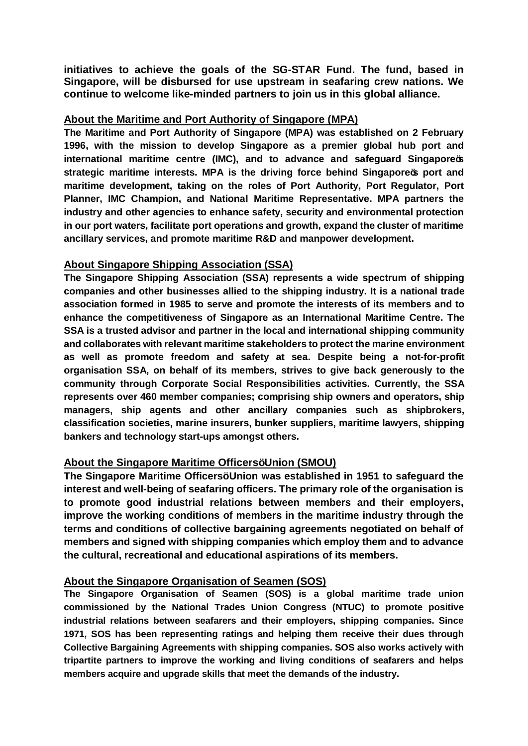**initiatives to achieve the goals of the SG-STAR Fund. The fund, based in Singapore, will be disbursed for use upstream in seafaring crew nations. We continue to welcome like-minded partners to join us in this global alliance.**

### **About the Maritime and Port Authority of Singapore (MPA)**

**The Maritime and Port Authority of Singapore (MPA) was established on 2 February 1996, with the mission to develop Singapore as a premier global hub port and international maritime centre (IMC), and to advance and safeguard Singapore's strategic maritime interests. MPA is the driving force behind Singapore's port and maritime development, taking on the roles of Port Authority, Port Regulator, Port Planner, IMC Champion, and National Maritime Representative. MPA partners the industry and other agencies to enhance safety, security and environmental protection in our port waters, facilitate port operations and growth, expand the cluster of maritime ancillary services, and promote maritime R&D and manpower development.**

### **About Singapore Shipping Association (SSA)**

**The Singapore Shipping Association (SSA) represents a wide spectrum of shipping companies and other businesses allied to the shipping industry. It is a national trade association formed in 1985 to serve and promote the interests of its members and to enhance the competitiveness of Singapore as an International Maritime Centre. The SSA is a trusted advisor and partner in the local and international shipping community and collaborates with relevant maritime stakeholders to protect the marine environment as well as promote freedom and safety at sea. Despite being a not-for-profit organisation SSA, on behalf of its members, strives to give back generously to the community through Corporate Social Responsibilities activities. Currently, the SSA represents over 460 member companies; comprising ship owners and operators, ship managers, ship agents and other ancillary companies such as shipbrokers, classification societies, marine insurers, bunker suppliers, maritime lawyers, shipping bankers and technology start-ups amongst others.**

### **About the Singapore Maritime OfficersEUnion (SMOU)**

**The Singapore Maritime Officers' Union was established in 1951 to safeguard the interest and well-being of seafaring officers. The primary role of the organisation is to promote good industrial relations between members and their employers, improve the working conditions of members in the maritime industry through the terms and conditions of collective bargaining agreements negotiated on behalf of members and signed with shipping companies which employ them and to advance the cultural, recreational and educational aspirations of its members.**

### **About the Singapore Organisation of Seamen (SOS)**

**The Singapore Organisation of Seamen (SOS) is a global maritime trade union commissioned by the National Trades Union Congress (NTUC) to promote positive industrial relations between seafarers and their employers, shipping companies. Since 1971, SOS has been representing ratings and helping them receive their dues through Collective Bargaining Agreements with shipping companies. SOS also works actively with tripartite partners to improve the working and living conditions of seafarers and helps members acquire and upgrade skills that meet the demands of the industry.**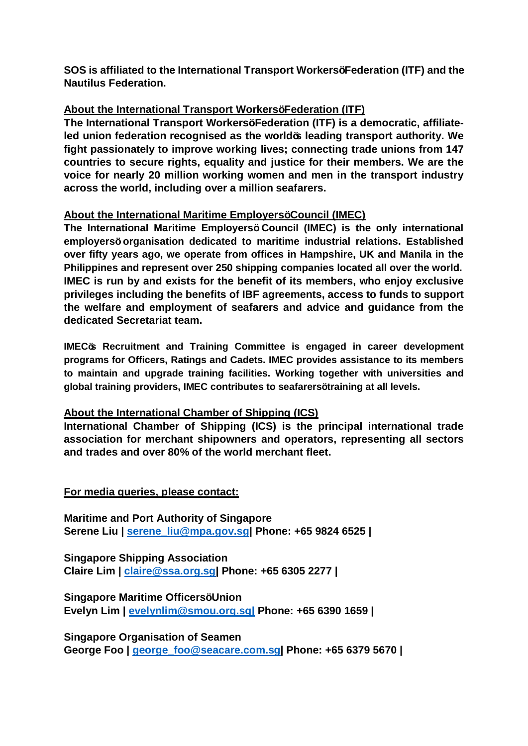**SOS is affiliated to the International Transport Workers' Federation (ITF) and the Nautilus Federation.**

# **About the International Transport WorkersEF** ederation (ITF)

**The International Transport Workers' Federation (ITF) is a democratic, affiliateled union federation recognised as the world's leading transport authority. We fight passionately to improve working lives; connecting trade unions from 147 countries to secure rights, equality and justice for their members. We are the voice for nearly 20 million working women and men in the transport industry across the world, including over a million seafarers.**

# **About the International Maritime Employers' Council (IMEC)**

**The International Maritime Employers' Council (IMEC) is the only international employers' organisation dedicated to maritime industrial relations. Established over fifty years ago, we operate from offices in Hampshire, UK and Manila in the Philippines and represent over 250 shipping companies located all over the world. IMEC is run by and exists for the benefit of its members, who enjoy exclusive privileges including the benefits of IBF agreements, access to funds to support the welfare and employment of seafarers and advice and guidance from the dedicated Secretariat team.**

**IMEC's Recruitment and Training Committee is engaged in career development programs for Officers, Ratings and Cadets. IMEC provides assistance to its members to maintain and upgrade training facilities. Working together with universities and global training providers, IMEC contributes to seafarers' training at all levels.**

# **About the International Chamber of Shipping (ICS)**

**International Chamber of Shipping (ICS) is the principal international trade association for merchant shipowners and operators, representing all sectors and trades and over 80% of the world merchant fleet.**

**For media queries, please contact:**

**Maritime and Port Authority of Singapore Serene Liu | serene\_liu@mpa.gov.sg| Phone: +65 9824 6525 |**

**Singapore Shipping Association Claire Lim | claire@ssa.org.sg| Phone: +65 6305 2277 |**

**Singapore Maritime OfficersEUnion Evelyn Lim | evelynlim@smou.org.sg| Phone: +65 6390 1659 |**

**Singapore Organisation of Seamen George Foo | george\_foo@seacare.com.sg| Phone: +65 6379 5670 |**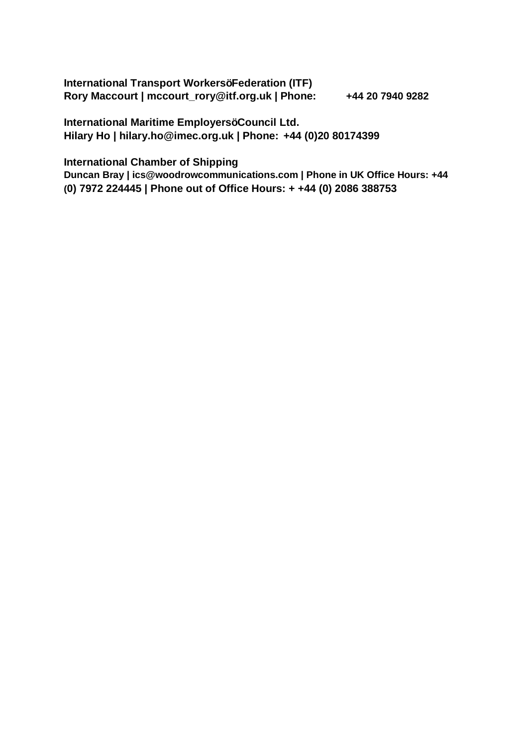**International Transport Workers' Federation (ITF) Rory Maccourt | mccourt\_rory@itf.org.uk | Phone: +44 20 7940 9282**

**International Maritime Employers' Council Ltd. Hilary Ho | hilary.ho@imec.org.uk | Phone: +44 (0)20 80174399**

**International Chamber of Shipping**

**Duncan Bray | ics@woodrowcommunications.com | Phone in UK Office Hours: +44 (0) 7972 224445 | Phone out of Office Hours: + +44 (0) 2086 388753**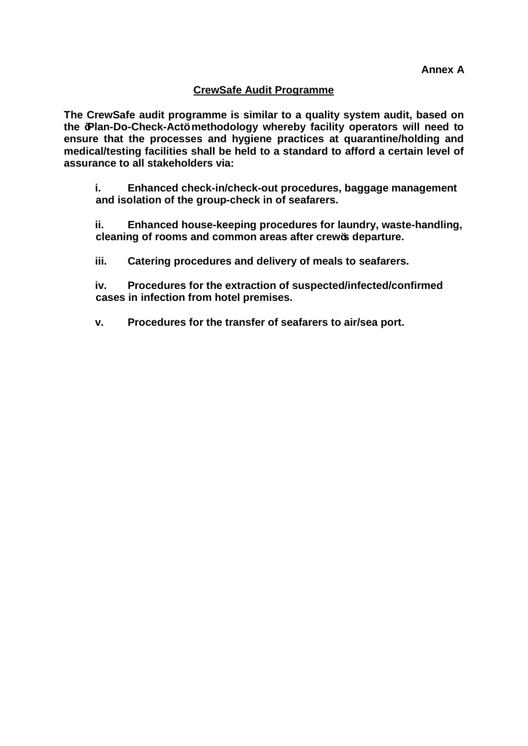# **CrewSafe Audit Programme**

**The CrewSafe audit programme is similar to a quality system audit, based on the 'Plan-Do-Check-Act' methodology whereby facility operators will need to ensure that the processes and hygiene practices at quarantine/holding and medical/testing facilities shall be held to a standard to afford a certain level of assurance to all stakeholders via:**

**i. Enhanced check-in/check-out procedures, baggage management and isolation of the group-check in of seafarers.**

**ii. Enhanced house-keeping procedures for laundry, waste-handling, cleaning of rooms and common areas after crew's departure.**

**iii. Catering procedures and delivery of meals to seafarers.**

**iv. Procedures for the extraction of suspected/infected/confirmed cases in infection from hotel premises.**

**v. Procedures for the transfer of seafarers to air/sea port.**